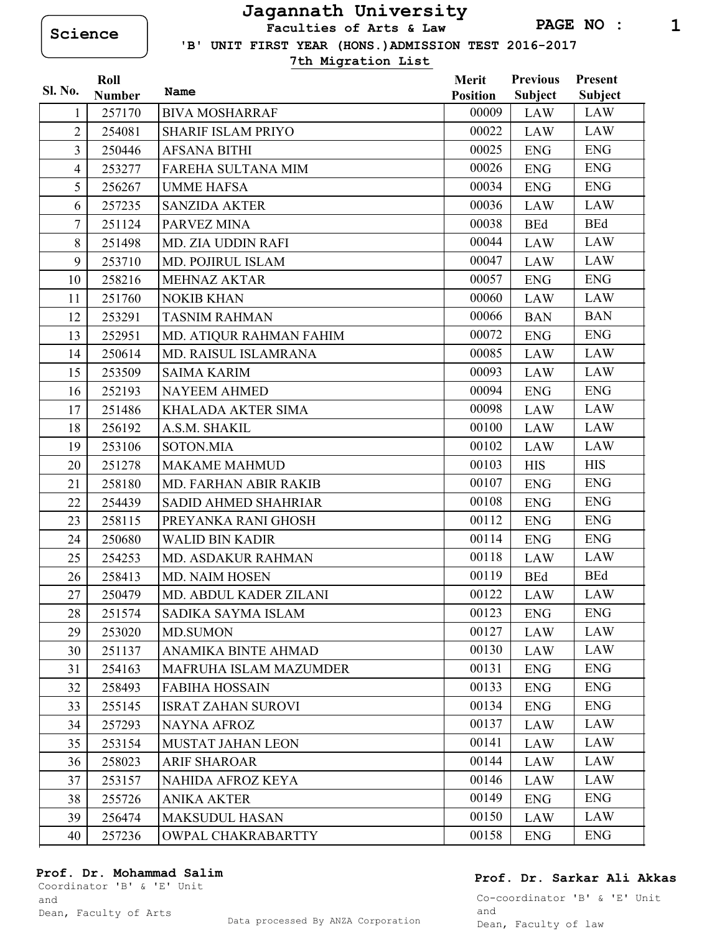**Science Faculties of Arts & Law**

 **'B' UNIT FIRST YEAR (HONS.)ADMISSION TEST 2016-2017**

**7th Migration List**

|                | Roll          |                              | Merit           | <b>Previous</b> | Present        |
|----------------|---------------|------------------------------|-----------------|-----------------|----------------|
| Sl. No.        | <b>Number</b> | Name                         | <b>Position</b> | <b>Subject</b>  | <b>Subject</b> |
| 1              | 257170        | <b>BIVA MOSHARRAF</b>        | 00009           | <b>LAW</b>      | LAW            |
| $\overline{2}$ | 254081        | <b>SHARIF ISLAM PRIYO</b>    | 00022           | <b>LAW</b>      | <b>LAW</b>     |
| 3              | 250446        | <b>AFSANA BITHI</b>          | 00025           | <b>ENG</b>      | <b>ENG</b>     |
| $\overline{4}$ | 253277        | FAREHA SULTANA MIM           | 00026           | <b>ENG</b>      | <b>ENG</b>     |
| 5              | 256267        | <b>UMME HAFSA</b>            | 00034           | <b>ENG</b>      | <b>ENG</b>     |
| 6              | 257235        | <b>SANZIDA AKTER</b>         | 00036           | <b>LAW</b>      | <b>LAW</b>     |
| $\overline{7}$ | 251124        | PARVEZ MINA                  | 00038           | <b>BEd</b>      | <b>BEd</b>     |
| 8              | 251498        | <b>MD. ZIA UDDIN RAFI</b>    | 00044           | <b>LAW</b>      | <b>LAW</b>     |
| 9              | 253710        | MD. POJIRUL ISLAM            | 00047           | <b>LAW</b>      | <b>LAW</b>     |
| 10             | 258216        | <b>MEHNAZ AKTAR</b>          | 00057           | <b>ENG</b>      | <b>ENG</b>     |
| 11             | 251760        | <b>NOKIB KHAN</b>            | 00060           | <b>LAW</b>      | <b>LAW</b>     |
| 12             | 253291        | <b>TASNIM RAHMAN</b>         | 00066           | <b>BAN</b>      | <b>BAN</b>     |
| 13             | 252951        | MD. ATIQUR RAHMAN FAHIM      | 00072           | <b>ENG</b>      | <b>ENG</b>     |
| 14             | 250614        | MD. RAISUL ISLAMRANA         | 00085           | <b>LAW</b>      | <b>LAW</b>     |
| 15             | 253509        | <b>SAIMA KARIM</b>           | 00093           | <b>LAW</b>      | LAW            |
| 16             | 252193        | <b>NAYEEM AHMED</b>          | 00094           | <b>ENG</b>      | <b>ENG</b>     |
| 17             | 251486        | <b>KHALADA AKTER SIMA</b>    | 00098           | <b>LAW</b>      | <b>LAW</b>     |
| 18             | 256192        | A.S.M. SHAKIL                | 00100           | <b>LAW</b>      | LAW            |
| 19             | 253106        | <b>SOTON.MIA</b>             | 00102           | <b>LAW</b>      | LAW            |
| 20             | 251278        | <b>MAKAME MAHMUD</b>         | 00103           | <b>HIS</b>      | <b>HIS</b>     |
| 21             | 258180        | <b>MD. FARHAN ABIR RAKIB</b> | 00107           | <b>ENG</b>      | <b>ENG</b>     |
| 22             | 254439        | <b>SADID AHMED SHAHRIAR</b>  | 00108           | <b>ENG</b>      | <b>ENG</b>     |
| 23             | 258115        | PREYANKA RANI GHOSH          | 00112           | <b>ENG</b>      | <b>ENG</b>     |
| 24             | 250680        | <b>WALID BIN KADIR</b>       | 00114           | <b>ENG</b>      | <b>ENG</b>     |
| 25             | 254253        | MD. ASDAKUR RAHMAN           | 00118           | <b>LAW</b>      | <b>LAW</b>     |
| 26             | 258413        | MD. NAIM HOSEN               | 00119           | <b>BEd</b>      | <b>BEd</b>     |
| 27             | 250479        | MD. ABDUL KADER ZILANI       | 00122           | LAW             | LAW            |
| 28             | 251574        | SADIKA SAYMA ISLAM           | 00123           | <b>ENG</b>      | <b>ENG</b>     |
| 29             | 253020        | <b>MD.SUMON</b>              | 00127           | LAW             | LAW            |
| 30             | 251137        | ANAMIKA BINTE AHMAD          | 00130           | <b>LAW</b>      | <b>LAW</b>     |
| 31             | 254163        | MAFRUHA ISLAM MAZUMDER       | 00131           | <b>ENG</b>      | <b>ENG</b>     |
| 32             | 258493        | <b>FABIHA HOSSAIN</b>        | 00133           | <b>ENG</b>      | <b>ENG</b>     |
| 33             | 255145        | <b>ISRAT ZAHAN SUROVI</b>    | 00134           | <b>ENG</b>      | <b>ENG</b>     |
| 34             | 257293        | NAYNA AFROZ                  | 00137           | LAW             | LAW            |
| 35             | 253154        | MUSTAT JAHAN LEON            | 00141           | LAW             | LAW            |
| 36             | 258023        | <b>ARIF SHAROAR</b>          | 00144           | <b>LAW</b>      | LAW            |
| 37             | 253157        | NAHIDA AFROZ KEYA            | 00146           | LAW             | LAW            |
| 38             | 255726        | <b>ANIKA AKTER</b>           | 00149           | <b>ENG</b>      | <b>ENG</b>     |
| 39             | 256474        | <b>MAKSUDUL HASAN</b>        | 00150           | <b>LAW</b>      | LAW            |
| 40             | 257236        | OWPAL CHAKRABARTTY           | 00158           | <b>ENG</b>      | <b>ENG</b>     |

Coordinator 'B' & 'E' Unit and

## **Prof. Dr. Sarkar Ali Akkas**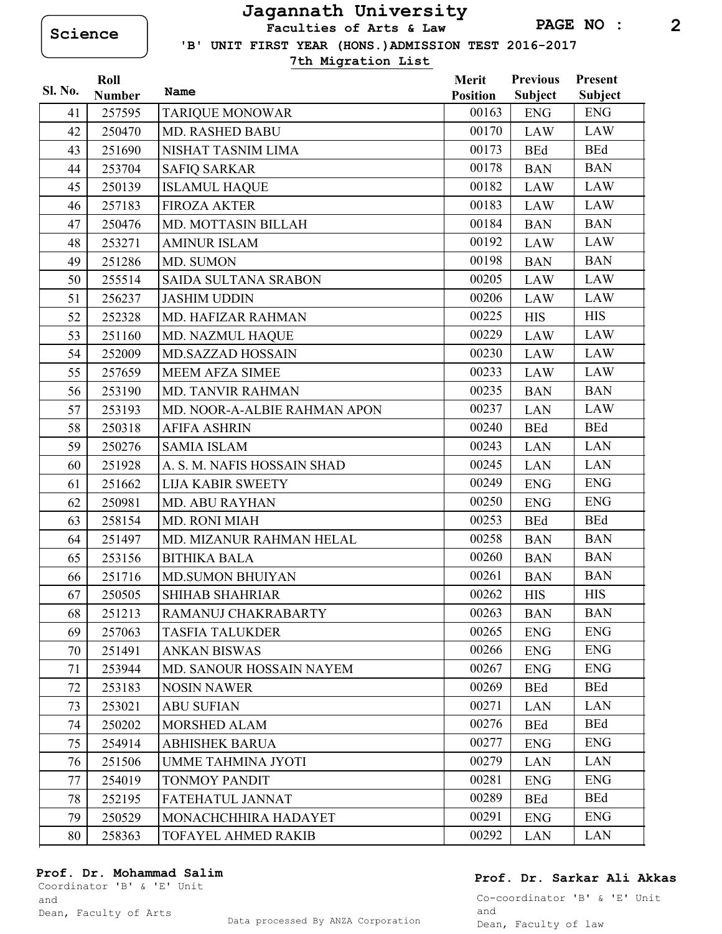**Science Faculties of Arts & Law**

 **'B' UNIT FIRST YEAR (HONS.)ADMISSION TEST 2016-2017**

**7th Migration List**

|                | Roll          |                              | Merit           | <b>Previous</b> | Present        |
|----------------|---------------|------------------------------|-----------------|-----------------|----------------|
| <b>Sl. No.</b> | <b>Number</b> | Name                         | <b>Position</b> | <b>Subject</b>  | <b>Subject</b> |
| 41             | 257595        | <b>TARIQUE MONOWAR</b>       | 00163           | <b>ENG</b>      | <b>ENG</b>     |
| 42             | 250470        | MD. RASHED BABU              | 00170           | <b>LAW</b>      | <b>LAW</b>     |
| 43             | 251690        | NISHAT TASNIM LIMA           | 00173           | <b>BEd</b>      | <b>BEd</b>     |
| 44             | 253704        | <b>SAFIQ SARKAR</b>          | 00178           | <b>BAN</b>      | <b>BAN</b>     |
| 45             | 250139        | <b>ISLAMUL HAQUE</b>         | 00182           | LAW             | LAW            |
| 46             | 257183        | <b>FIROZA AKTER</b>          | 00183           | <b>LAW</b>      | LAW            |
| 47             | 250476        | MD. MOTTASIN BILLAH          | 00184           | <b>BAN</b>      | <b>BAN</b>     |
| 48             | 253271        | <b>AMINUR ISLAM</b>          | 00192           | <b>LAW</b>      | <b>LAW</b>     |
| 49             | 251286        | MD. SUMON                    | 00198           | <b>BAN</b>      | <b>BAN</b>     |
| 50             | 255514        | <b>SAIDA SULTANA SRABON</b>  | 00205           | <b>LAW</b>      | LAW            |
| 51             | 256237        | <b>JASHIM UDDIN</b>          | 00206           | <b>LAW</b>      | LAW            |
| 52             | 252328        | MD. HAFIZAR RAHMAN           | 00225           | <b>HIS</b>      | <b>HIS</b>     |
| 53             | 251160        | MD. NAZMUL HAQUE             | 00229           | <b>LAW</b>      | <b>LAW</b>     |
| 54             | 252009        | <b>MD.SAZZAD HOSSAIN</b>     | 00230           | <b>LAW</b>      | LAW            |
| 55             | 257659        | <b>MEEM AFZA SIMEE</b>       | 00233           | <b>LAW</b>      | LAW            |
| 56             | 253190        | <b>MD. TANVIR RAHMAN</b>     | 00235           | <b>BAN</b>      | <b>BAN</b>     |
| 57             | 253193        | MD. NOOR-A-ALBIE RAHMAN APON | 00237           | <b>LAN</b>      | <b>LAW</b>     |
| 58             | 250318        | <b>AFIFA ASHRIN</b>          | 00240           | <b>BEd</b>      | <b>BEd</b>     |
| 59             | 250276        | <b>SAMIA ISLAM</b>           | 00243           | <b>LAN</b>      | <b>LAN</b>     |
| 60             | 251928        | A. S. M. NAFIS HOSSAIN SHAD  | 00245           | <b>LAN</b>      | <b>LAN</b>     |
| 61             | 251662        | <b>LIJA KABIR SWEETY</b>     | 00249           | <b>ENG</b>      | <b>ENG</b>     |
| 62             | 250981        | <b>MD. ABU RAYHAN</b>        | 00250           | <b>ENG</b>      | <b>ENG</b>     |
| 63             | 258154        | MD. RONI MIAH                | 00253           | <b>BEd</b>      | <b>BEd</b>     |
| 64             | 251497        | MD. MIZANUR RAHMAN HELAL     | 00258           | <b>BAN</b>      | <b>BAN</b>     |
| 65             | 253156        | <b>BITHIKA BALA</b>          | 00260           | <b>BAN</b>      | <b>BAN</b>     |
| 66             | 251716        | <b>MD.SUMON BHUIYAN</b>      | 00261           | <b>BAN</b>      | <b>BAN</b>     |
| 67             | 250505        | SHIHAB SHAHRIAR              | 00262           | <b>HIS</b>      | <b>HIS</b>     |
| 68             | 251213        | RAMANUJ CHAKRABARTY          | 00263           | <b>BAN</b>      | <b>BAN</b>     |
| 69             | 257063        | <b>TASFIA TALUKDER</b>       | 00265           | <b>ENG</b>      | <b>ENG</b>     |
| 70             | 251491        | <b>ANKAN BISWAS</b>          | 00266           | <b>ENG</b>      | <b>ENG</b>     |
| 71             | 253944        | MD. SANOUR HOSSAIN NAYEM     | 00267           | <b>ENG</b>      | <b>ENG</b>     |
| 72             | 253183        | <b>NOSIN NAWER</b>           | 00269           | <b>BEd</b>      | <b>BEd</b>     |
| 73             | 253021        | <b>ABU SUFIAN</b>            | 00271           | <b>LAN</b>      | <b>LAN</b>     |
| 74             | 250202        | MORSHED ALAM                 | 00276           | <b>BEd</b>      | <b>BEd</b>     |
| 75             | 254914        | <b>ABHISHEK BARUA</b>        | 00277           | <b>ENG</b>      | <b>ENG</b>     |
| 76             | 251506        | <b>UMME TAHMINA JYOTI</b>    | 00279           | <b>LAN</b>      | <b>LAN</b>     |
| 77             | 254019        | <b>TONMOY PANDIT</b>         | 00281           | <b>ENG</b>      | <b>ENG</b>     |
| 78             | 252195        | FATEHATUL JANNAT             | 00289           | <b>BEd</b>      | <b>BEd</b>     |
| 79             | 250529        | MONACHCHHIRA HADAYET         | 00291           | <b>ENG</b>      | <b>ENG</b>     |
| 80             | 258363        | TOFAYEL AHMED RAKIB          | 00292           | <b>LAN</b>      | <b>LAN</b>     |

### **Prof. Dr. Mohammad Salim**

Coordinator 'B' & 'E' Unit and

## **Prof. Dr. Sarkar Ali Akkas**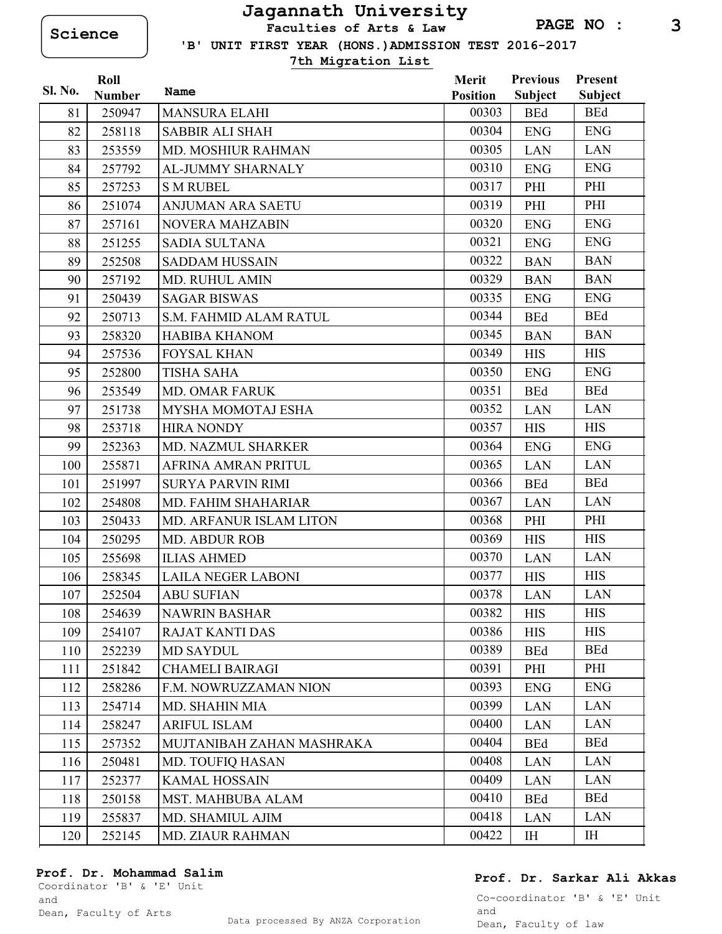**Science Faculties of Arts & Law**

 **'B' UNIT FIRST YEAR (HONS.)ADMISSION TEST 2016-2017**

**7th Migration List**

| <b>Sl. No.</b> | Roll          | Name                          | Merit           | <b>Previous</b> | Present        |
|----------------|---------------|-------------------------------|-----------------|-----------------|----------------|
|                | <b>Number</b> |                               | <b>Position</b> | <b>Subject</b>  | <b>Subject</b> |
| 81             | 250947        | <b>MANSURA ELAHI</b>          | 00303           | <b>BEd</b>      | <b>BEd</b>     |
| 82             | 258118        | <b>SABBIR ALI SHAH</b>        | 00304           | <b>ENG</b>      | <b>ENG</b>     |
| 83             | 253559        | MD. MOSHIUR RAHMAN            | 00305           | <b>LAN</b>      | <b>LAN</b>     |
| 84             | 257792        | AL-JUMMY SHARNALY             | 00310           | <b>ENG</b>      | <b>ENG</b>     |
| 85             | 257253        | <b>S M RUBEL</b>              | 00317           | PHI             | PHI            |
| 86             | 251074        | <b>ANJUMAN ARA SAETU</b>      | 00319           | PHI             | PHI            |
| 87             | 257161        | <b>NOVERA MAHZABIN</b>        | 00320           | <b>ENG</b>      | <b>ENG</b>     |
| 88             | 251255        | <b>SADIA SULTANA</b>          | 00321           | <b>ENG</b>      | <b>ENG</b>     |
| 89             | 252508        | <b>SADDAM HUSSAIN</b>         | 00322           | <b>BAN</b>      | <b>BAN</b>     |
| 90             | 257192        | <b>MD. RUHUL AMIN</b>         | 00329           | <b>BAN</b>      | <b>BAN</b>     |
| 91             | 250439        | <b>SAGAR BISWAS</b>           | 00335           | <b>ENG</b>      | <b>ENG</b>     |
| 92             | 250713        | <b>S.M. FAHMID ALAM RATUL</b> | 00344           | <b>BEd</b>      | <b>BEd</b>     |
| 93             | 258320        | <b>HABIBA KHANOM</b>          | 00345           | <b>BAN</b>      | <b>BAN</b>     |
| 94             | 257536        | <b>FOYSAL KHAN</b>            | 00349           | <b>HIS</b>      | <b>HIS</b>     |
| 95             | 252800        | <b>TISHA SAHA</b>             | 00350           | <b>ENG</b>      | <b>ENG</b>     |
| 96             | 253549        | <b>MD. OMAR FARUK</b>         | 00351           | <b>BEd</b>      | <b>BEd</b>     |
| 97             | 251738        | MYSHA MOMOTAJ ESHA            | 00352           | <b>LAN</b>      | <b>LAN</b>     |
| 98             | 253718        | <b>HIRA NONDY</b>             | 00357           | <b>HIS</b>      | <b>HIS</b>     |
| 99             | 252363        | MD. NAZMUL SHARKER            | 00364           | <b>ENG</b>      | <b>ENG</b>     |
| 100            | 255871        | <b>AFRINA AMRAN PRITUL</b>    | 00365           | <b>LAN</b>      | <b>LAN</b>     |
| 101            | 251997        | <b>SURYA PARVIN RIMI</b>      | 00366           | <b>BEd</b>      | <b>BEd</b>     |
| 102            | 254808        | MD. FAHIM SHAHARIAR           | 00367           | <b>LAN</b>      | <b>LAN</b>     |
| 103            | 250433        | MD. ARFANUR ISLAM LITON       | 00368           | PHI             | PHI            |
| 104            | 250295        | <b>MD. ABDUR ROB</b>          | 00369           | <b>HIS</b>      | <b>HIS</b>     |
| 105            | 255698        | <b>ILIAS AHMED</b>            | 00370           | <b>LAN</b>      | <b>LAN</b>     |
| 106            | 258345        | <b>LAILA NEGER LABONI</b>     | 00377           | <b>HIS</b>      | <b>HIS</b>     |
| 107            | 252504        | <b>ABU SUFIAN</b>             | 00378           | <b>LAN</b>      | <b>LAN</b>     |
| 108            | 254639        | <b>NAWRIN BASHAR</b>          | 00382           | <b>HIS</b>      | <b>HIS</b>     |
| 109            | 254107        | <b>RAJAT KANTI DAS</b>        | 00386           | <b>HIS</b>      | <b>HIS</b>     |
| 110            | 252239        | <b>MD SAYDUL</b>              | 00389           | <b>BEd</b>      | <b>BEd</b>     |
| 111            | 251842        | <b>CHAMELI BAIRAGI</b>        | 00391           | PHI             | PHI            |
| 112            | 258286        | F.M. NOWRUZZAMAN NION         | 00393           | <b>ENG</b>      | <b>ENG</b>     |
| 113            | 254714        | MD. SHAHIN MIA                | 00399           | <b>LAN</b>      | <b>LAN</b>     |
| 114            | 258247        | <b>ARIFUL ISLAM</b>           | 00400           | <b>LAN</b>      | <b>LAN</b>     |
| 115            | 257352        | MUJTANIBAH ZAHAN MASHRAKA     | 00404           | <b>BEd</b>      | <b>BEd</b>     |
| 116            | 250481        | <b>MD. TOUFIQ HASAN</b>       | 00408           | <b>LAN</b>      | LAN            |
| 117            | 252377        | <b>KAMAL HOSSAIN</b>          | 00409           | LAN             | <b>LAN</b>     |
| 118            | 250158        | MST. MAHBUBA ALAM             | 00410           | <b>BEd</b>      | <b>BEd</b>     |
| 119            | 255837        | MD. SHAMIUL AJIM              | 00418           | LAN             | <b>LAN</b>     |
| 120            | 252145        | <b>MD. ZIAUR RAHMAN</b>       | 00422           | IH              | IH             |

### **Prof. Dr. Mohammad Salim**

Coordinator 'B' & 'E' Unit and

**Prof. Dr. Sarkar Ali Akkas**